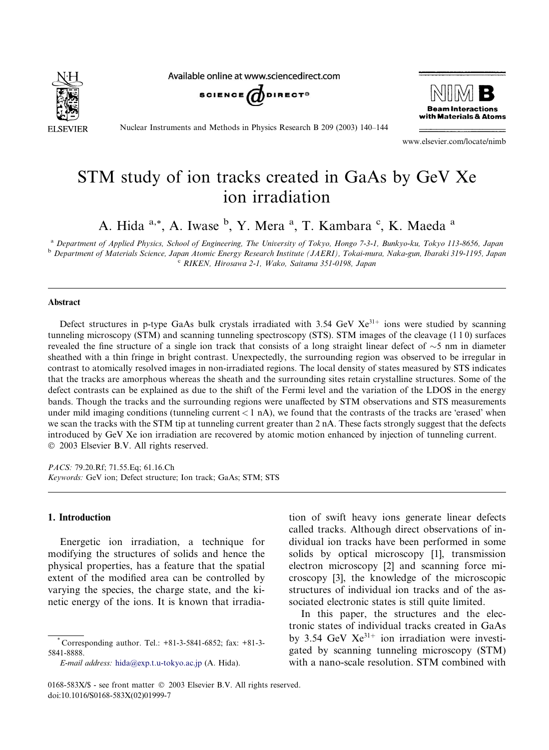

Available online at www.sciencedirect.com





Nuclear Instruments and Methods in Physics Research B 209 (2003) 140–144

www.elsevier.com/locate/nimb

# STM study of ion tracks created in GaAs by GeV Xe ion irradiation

A. Hida <sup>a,\*</sup>, A. Iwase <sup>b</sup>, Y. Mera <sup>a</sup>, T. Kambara <sup>c</sup>, K. Maeda <sup>a</sup>

<sup>a</sup> Department of Applied Physics, School of Engineering, The University of Tokyo, Hongo 7-3-1, Bunkyo-ku, Tokyo 113-8656, Japan <sup>b</sup> Department of Materials Science, Japan Atomic Energy Research Institute (JAERI), Tokai-mura, Naka-gun, Ibaraki 319-1195, Japan <sup>c</sup> RIKEN, Hirosawa 2-1, Wako, Saitama 351-0198, Japan

#### Abstract

Defect structures in p-type GaAs bulk crystals irradiated with 3.54 GeV  $Xe^{31+}$  ions were studied by scanning tunneling microscopy (STM) and scanning tunneling spectroscopy (STS). STM images of the cleavage (1 1 0) surfaces revealed the fine structure of a single ion track that consists of a long straight linear defect of  $\sim$ 5 nm in diameter sheathed with a thin fringe in bright contrast. Unexpectedly, the surrounding region was observed to be irregular in contrast to atomically resolved images in non-irradiated regions. The local density of states measured by STS indicates that the tracks are amorphous whereas the sheath and the surrounding sites retain crystalline structures. Some of the defect contrasts can be explained as due to the shift of the Fermi level and the variation of the LDOS in the energy bands. Though the tracks and the surrounding regions were unaffected by STM observations and STS measurements under mild imaging conditions (tunneling current  $< 1$  nA), we found that the contrasts of the tracks are 'erased' when we scan the tracks with the STM tip at tunneling current greater than 2 nA. These facts strongly suggest that the defects introduced by GeV Xe ion irradiation are recovered by atomic motion enhanced by injection of tunneling current. 2003 Elsevier B.V. All rights reserved.

PACS: 79.20.Rf; 71.55.Eq; 61.16.Ch Keywords: GeV ion; Defect structure; Ion track; GaAs; STM; STS

## 1. Introduction

Energetic ion irradiation, a technique for modifying the structures of solids and hence the physical properties, has a feature that the spatial extent of the modified area can be controlled by varying the species, the charge state, and the kinetic energy of the ions. It is known that irradia-

E-mail address: [hida@exp.t.u-tokyo.ac.jp](mail to: hida@exp.t.u-tokyo.ac.jp) (A. Hida).

tion of swift heavy ions generate linear defects called tracks. Although direct observations of individual ion tracks have been performed in some solids by optical microscopy [1], transmission electron microscopy [2] and scanning force microscopy [3], the knowledge of the microscopic structures of individual ion tracks and of the associated electronic states is still quite limited.

In this paper, the structures and the electronic states of individual tracks created in GaAs by 3.54 GeV  $Xe^{31+}$  ion irradiation were investigated by scanning tunneling microscopy (STM) with a nano-scale resolution. STM combined with

<sup>\*</sup> Corresponding author. Tel.: +81-3-5841-6852; fax: +81-3- 5841-8888.

<sup>0168-583</sup>X/\$ - see front matter  $\odot$  2003 Elsevier B.V. All rights reserved. doi:10.1016/S0168-583X(02)01999-7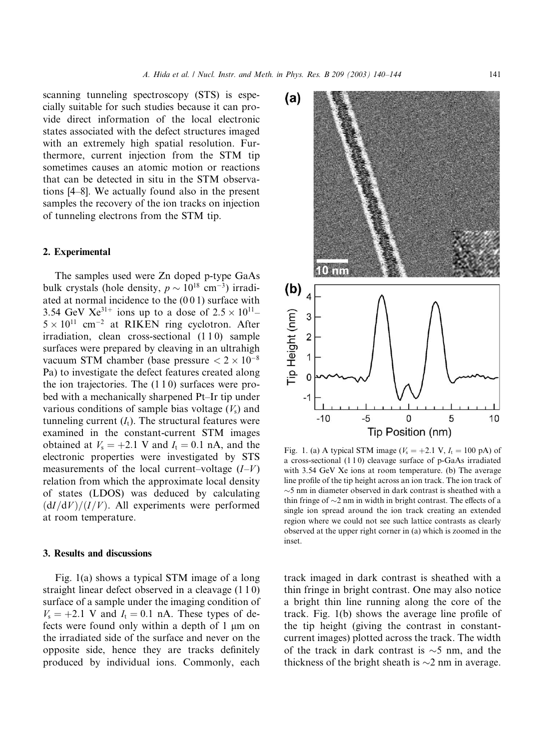scanning tunneling spectroscopy (STS) is especially suitable for such studies because it can provide direct information of the local electronic states associated with the defect structures imaged with an extremely high spatial resolution. Furthermore, current injection from the STM tip sometimes causes an atomic motion or reactions that can be detected in situ in the STM observations [4–8]. We actually found also in the present samples the recovery of the ion tracks on injection of tunneling electrons from the STM tip.

## 2. Experimental

The samples used were Zn doped p-type GaAs bulk crystals (hole density,  $p \sim 10^{18}$  cm<sup>-3</sup>) irradiated at normal incidence to the (0 0 1) surface with 3.54 GeV Xe<sup>31+</sup> ions up to a dose of  $2.5 \times 10^{11}$ - $5 \times 10^{11}$  cm<sup>-2</sup> at RIKEN ring cyclotron. After irradiation, clean cross-sectional (1 1 0) sample surfaces were prepared by cleaving in an ultrahigh vacuum STM chamber (base pressure  $< 2 \times 10^{-8}$ Pa) to investigate the defect features created along the ion trajectories. The  $(110)$  surfaces were probed with a mechanically sharpened Pt–Ir tip under various conditions of sample bias voltage  $(V<sub>s</sub>)$  and tunneling current  $(I_t)$ . The structural features were examined in the constant-current STM images obtained at  $V_s = +2.1$  V and  $I_t = 0.1$  nA, and the electronic properties were investigated by STS measurements of the local current–voltage  $(I-V)$ relation from which the approximate local density of states (LDOS) was deduced by calculating  $\frac{dI}{dV}$   $\frac{dV}{I/V}$ . All experiments were performed at room temperature.

## 3. Results and discussions

Fig. 1(a) shows a typical STM image of a long straight linear defect observed in a cleavage (1 1 0) surface of a sample under the imaging condition of  $V_s = +2.1$  V and  $I_t = 0.1$  nA. These types of defects were found only within a depth of 1 *l*m on the irradiated side of the surface and never on the opposite side, hence they are tracks definitely produced by individual ions. Commonly, each



Fig. 1. (a) A typical STM image ( $V_s = +2.1$  V,  $I_t = 100$  pA) of a cross-sectional (1 1 0) cleavage surface of p-GaAs irradiated with 3.54 GeV Xe ions at room temperature. (b) The average line profile of the tip height across an ion track. The ion track of  ${\sim}5$  nm in diameter observed in dark contrast is sheathed with a thin fringe of  $\sim$ 2 nm in width in bright contrast. The effects of a single ion spread around the ion track creating an extended region where we could not see such lattice contrasts as clearly observed at the upper right corner in (a) which is zoomed in the inset.

track imaged in dark contrast is sheathed with a thin fringe in bright contrast. One may also notice a bright thin line running along the core of the track. Fig. 1(b) shows the average line profile of the tip height (giving the contrast in constantcurrent images) plotted across the track. The width of the track in dark contrast is  $\sim$ 5 nm, and the thickness of the bright sheath is  $\sim$ 2 nm in average.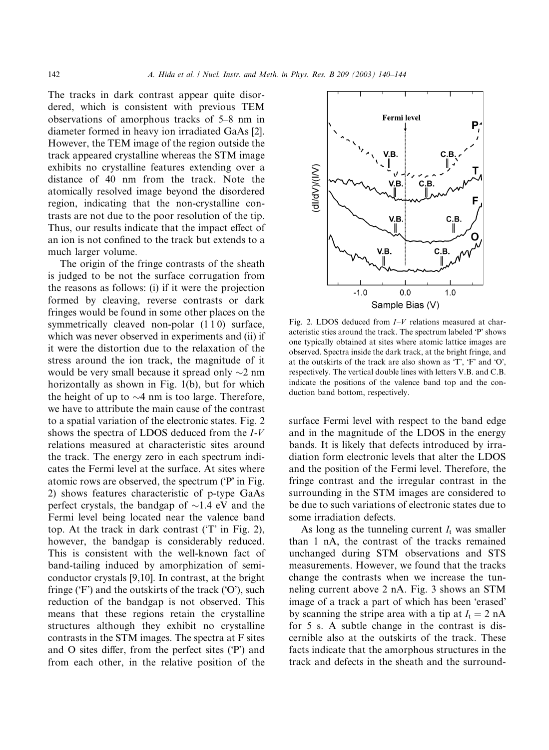The tracks in dark contrast appear quite disordered, which is consistent with previous TEM observations of amorphous tracks of 5–8 nm in diameter formed in heavy ion irradiated GaAs [2]. However, the TEM image of the region outside the track appeared crystalline whereas the STM image exhibits no crystalline features extending over a distance of 40 nm from the track. Note the atomically resolved image beyond the disordered region, indicating that the non-crystalline contrasts are not due to the poor resolution of the tip. Thus, our results indicate that the impact effect of an ion is not confined to the track but extends to a much larger volume.

The origin of the fringe contrasts of the sheath is judged to be not the surface corrugation from the reasons as follows: (i) if it were the projection formed by cleaving, reverse contrasts or dark fringes would be found in some other places on the symmetrically cleaved non-polar  $(1\,1\,0)$  surface, which was never observed in experiments and (ii) if it were the distortion due to the relaxation of the stress around the ion track, the magnitude of it would be very small because it spread only  $\sim$ 2 nm horizontally as shown in Fig. 1(b), but for which the height of up to  $\sim$ 4 nm is too large. Therefore, we have to attribute the main cause of the contrast to a spatial variation of the electronic states. Fig. 2 shows the spectra of LDOS deduced from the I-V relations measured at characteristic sites around the track. The energy zero in each spectrum indicates the Fermi level at the surface. At sites where atomic rows are observed, the spectrum ('P' in Fig. 2) shows features characteristic of p-type GaAs perfect crystals, the bandgap of  $\sim$ 1.4 eV and the Fermi level being located near the valence band top. At the track in dark contrast  $(T'$  in Fig. 2), however, the bandgap is considerably reduced. This is consistent with the well-known fact of band-tailing induced by amorphization of semiconductor crystals [9,10]. In contrast, at the bright fringe  $(F)$  and the outskirts of the track  $(O)$ , such reduction of the bandgap is not observed. This means that these regions retain the crystalline structures although they exhibit no crystalline contrasts in the STM images. The spectra at F sites and O sites differ, from the perfect sites  $(P')$  and from each other, in the relative position of the



Fig. 2. LDOS deduced from  $I-V$  relations measured at characteristic sties around the track. The spectrum labeled 'P' shows one typically obtained at sites where atomic lattice images are observed. Spectra inside the dark track, at the bright fringe, and at the outskirts of the track are also shown as  $T$ ,  $F$  and  $O$ , respectively. The vertical double lines with letters V.B. and C.B. indicate the positions of the valence band top and the conduction band bottom, respectively.

surface Fermi level with respect to the band edge and in the magnitude of the LDOS in the energy bands. It is likely that defects introduced by irradiation form electronic levels that alter the LDOS and the position of the Fermi level. Therefore, the fringe contrast and the irregular contrast in the surrounding in the STM images are considered to be due to such variations of electronic states due to some irradiation defects.

As long as the tunneling current  $I_t$  was smaller than 1 nA, the contrast of the tracks remained unchanged during STM observations and STS measurements. However, we found that the tracks change the contrasts when we increase the tunneling current above 2 nA. Fig. 3 shows an STM image of a track a part of which has been 'erased' by scanning the stripe area with a tip at  $I_t = 2 \text{ nA}$ for 5 s. A subtle change in the contrast is discernible also at the outskirts of the track. These facts indicate that the amorphous structures in the track and defects in the sheath and the surround-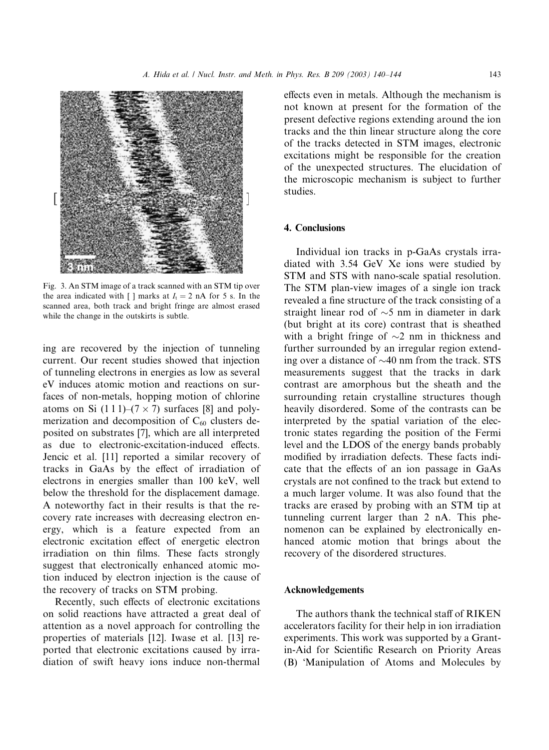

Fig. 3. An STM image of a track scanned with an STM tip over the area indicated with [ ] marks at  $I_t = 2$  nA for 5 s. In the scanned area, both track and bright fringe are almost erased while the change in the outskirts is subtle.

ing are recovered by the injection of tunneling current. Our recent studies showed that injection of tunneling electrons in energies as low as several eV induces atomic motion and reactions on surfaces of non-metals, hopping motion of chlorine atoms on Si  $(1\ 1\ 1)$ – $(7 \times 7)$  surfaces [8] and polymerization and decomposition of  $C_{60}$  clusters deposited on substrates [7], which are all interpreted as due to electronic-excitation-induced effects. Jencic et al. [11] reported a similar recovery of tracks in GaAs by the effect of irradiation of electrons in energies smaller than 100 keV, well below the threshold for the displacement damage. A noteworthy fact in their results is that the recovery rate increases with decreasing electron energy, which is a feature expected from an electronic excitation effect of energetic electron irradiation on thin films. These facts strongly suggest that electronically enhanced atomic motion induced by electron injection is the cause of the recovery of tracks on STM probing.

Recently, such effects of electronic excitations on solid reactions have attracted a great deal of attention as a novel approach for controlling the properties of materials [12]. Iwase et al. [13] reported that electronic excitations caused by irradiation of swift heavy ions induce non-thermal

effects even in metals. Although the mechanism is not known at present for the formation of the present defective regions extending around the ion tracks and the thin linear structure along the core of the tracks detected in STM images, electronic excitations might be responsible for the creation of the unexpected structures. The elucidation of the microscopic mechanism is subject to further studies.

## 4. Conclusions

Individual ion tracks in p-GaAs crystals irradiated with 3.54 GeV Xe ions were studied by STM and STS with nano-scale spatial resolution. The STM plan-view images of a single ion track revealed a fine structure of the track consisting of a straight linear rod of  $\sim$ 5 nm in diameter in dark (but bright at its core) contrast that is sheathed with a bright fringe of  $\sim$ 2 nm in thickness and further surrounded by an irregular region extending over a distance of  $\sim$ 40 nm from the track. STS measurements suggest that the tracks in dark contrast are amorphous but the sheath and the surrounding retain crystalline structures though heavily disordered. Some of the contrasts can be interpreted by the spatial variation of the electronic states regarding the position of the Fermi level and the LDOS of the energy bands probably modified by irradiation defects. These facts indicate that the effects of an ion passage in GaAs crystals are not confined to the track but extend to a much larger volume. It was also found that the tracks are erased by probing with an STM tip at tunneling current larger than 2 nA. This phenomenon can be explained by electronically enhanced atomic motion that brings about the recovery of the disordered structures.

### Acknowledgements

The authors thank the technical staff of RIKEN accelerators facility for their help in ion irradiation experiments. This work was supported by a Grantin-Aid for Scientific Research on Priority Areas (B) Manipulation of Atoms and Molecules by